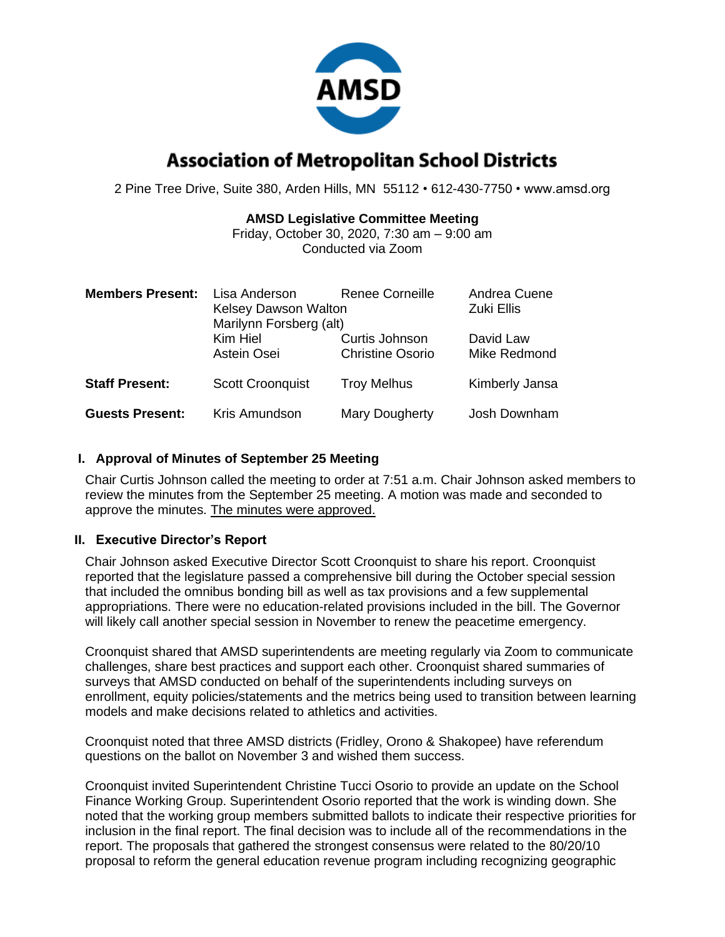

# **Association of Metropolitan School Districts**

2 Pine Tree Drive, Suite 380, Arden Hills, MN 55112 • 612-430-7750 • www.amsd.org

## **AMSD Legislative Committee Meeting**

Friday, October 30, 2020, 7:30 am – 9:00 am Conducted via Zoom

| <b>Members Present:</b> | Lisa Anderson<br><b>Renee Corneille</b><br><b>Kelsey Dawson Walton</b><br>Marilynn Forsberg (alt) |                                           | Andrea Cuene<br><b>Zuki Ellis</b> |
|-------------------------|---------------------------------------------------------------------------------------------------|-------------------------------------------|-----------------------------------|
|                         | Kim Hiel<br>Astein Osei                                                                           | Curtis Johnson<br><b>Christine Osorio</b> | David Law<br>Mike Redmond         |
| <b>Staff Present:</b>   | <b>Scott Croonquist</b>                                                                           | <b>Troy Melhus</b>                        | Kimberly Jansa                    |
| <b>Guests Present:</b>  | Kris Amundson                                                                                     | Mary Dougherty                            | Josh Downham                      |

## **I. Approval of Minutes of September 25 Meeting**

Chair Curtis Johnson called the meeting to order at 7:51 a.m. Chair Johnson asked members to review the minutes from the September 25 meeting. A motion was made and seconded to approve the minutes. The minutes were approved.

## **II. Executive Director's Report**

Chair Johnson asked Executive Director Scott Croonquist to share his report. Croonquist reported that the legislature passed a comprehensive bill during the October special session that included the omnibus bonding bill as well as tax provisions and a few supplemental appropriations. There were no education-related provisions included in the bill. The Governor will likely call another special session in November to renew the peacetime emergency.

Croonquist shared that AMSD superintendents are meeting regularly via Zoom to communicate challenges, share best practices and support each other. Croonquist shared summaries of surveys that AMSD conducted on behalf of the superintendents including surveys on enrollment, equity policies/statements and the metrics being used to transition between learning models and make decisions related to athletics and activities.

Croonquist noted that three AMSD districts (Fridley, Orono & Shakopee) have referendum questions on the ballot on November 3 and wished them success.

Croonquist invited Superintendent Christine Tucci Osorio to provide an update on the School Finance Working Group. Superintendent Osorio reported that the work is winding down. She noted that the working group members submitted ballots to indicate their respective priorities for inclusion in the final report. The final decision was to include all of the recommendations in the report. The proposals that gathered the strongest consensus were related to the 80/20/10 proposal to reform the general education revenue program including recognizing geographic